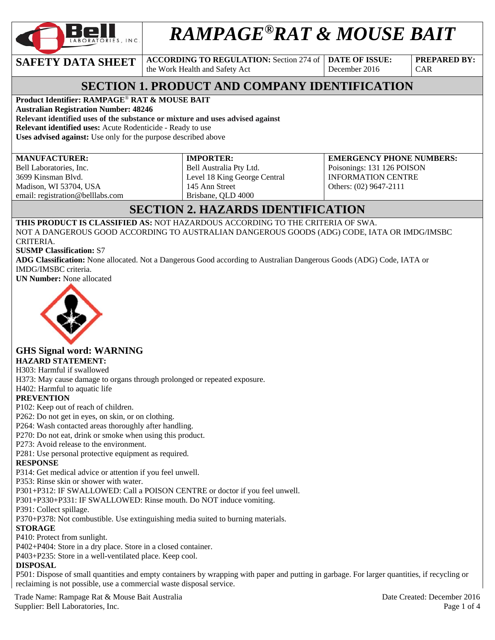

# *RAMPAGE®RAT & MOUSE BAIT*

**SAFETY DATA SHEET ACCORDING TO REGULATION:** Section 274 of

the Work Health and Safety Act

**DATE OF ISSUE:**  December 2016

**PREPARED BY:**  CAR

# **SECTION 1. PRODUCT AND COMPANY IDENTIFICATION**

### **Product Identifier: RAMPAGE**® **RAT & MOUSE BAIT**

**Australian Registration Number: 48246** 

**Relevant identified uses of the substance or mixture and uses advised against Relevant identified uses:** Acute Rodenticide - Ready to use

**Uses advised against:** Use only for the purpose described above

#### **MANUFACTURER:**

Bell Laboratories, Inc. 3699 Kinsman Blvd. Madison, WI 53704, USA email: registration@belllabs.com **IMPORTER:**  Bell Australia Pty Ltd. Level 18 King George Central 145 Ann Street Brisbane, QLD 4000

**EMERGENCY PHONE NUMBERS:**  Poisonings: 131 126 POISON INFORMATION CENTRE Others: (02) 9647-2111

# **SECTION 2. HAZARDS IDENTIFICATION**

**THIS PRODUCT IS CLASSIFIED AS:** NOT HAZARDOUS ACCORDING TO THE CRITERIA OF SWA. NOT A DANGEROUS GOOD ACCORDING TO AUSTRALIAN DANGEROUS GOODS (ADG) CODE, IATA OR IMDG/IMSBC CRITERIA.

**SUSMP Classification:** S7

**ADG Classification:** None allocated. Not a Dangerous Good according to Australian Dangerous Goods (ADG) Code, IATA or IMDG/IMSBC criteria.

**UN Number:** None allocated



# **GHS Signal word: WARNING**

#### **HAZARD STATEMENT:**

H303: Harmful if swallowed

H373: May cause damage to organs through prolonged or repeated exposure.

H402: Harmful to aquatic life

#### **PREVENTION**

P102: Keep out of reach of children.

P262: Do not get in eyes, on skin, or on clothing.

P264: Wash contacted areas thoroughly after handling.

P270: Do not eat, drink or smoke when using this product.

P273: Avoid release to the environment.

P281: Use personal protective equipment as required.

#### **RESPONSE**

P314: Get medical advice or attention if you feel unwell.

P353: Rinse skin or shower with water.

P301+P312: IF SWALLOWED: Call a POISON CENTRE or doctor if you feel unwell.

P301+P330+P331: IF SWALLOWED: Rinse mouth. Do NOT induce vomiting.

P391: Collect spillage.

P370+P378: Not combustible. Use extinguishing media suited to burning materials.

#### **STORAGE**

P410: Protect from sunlight.

P402+P404: Store in a dry place. Store in a closed container.

P403+P235: Store in a well-ventilated place. Keep cool.

#### **DISPOSAL**

P501: Dispose of small quantities and empty containers by wrapping with paper and putting in garbage. For larger quantities, if recycling or reclaiming is not possible, use a commercial waste disposal service.

Trade Name: Rampage Rat & Mouse Bait Australia and the contract of the Created: December 2016 Supplier: Bell Laboratories, Inc. Page 1 of 4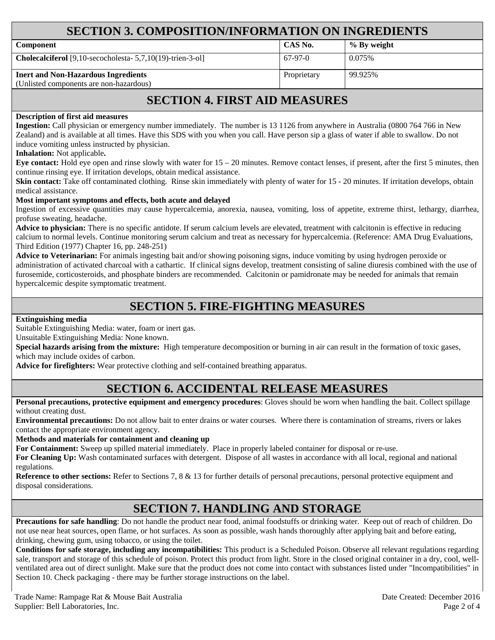## **SECTION 3. COMPOSITION/INFORMATION ON INGREDIENTS**

| <b>Component</b>                                                     | CAS No.     | % By weight |
|----------------------------------------------------------------------|-------------|-------------|
| <b>Cholecalciferol</b> [9,10-secocholesta- $5,7,10(19)$ -trien-3-ol] | $67-97-0$   | 0.075%      |
| <b>Inert and Non-Hazardous Ingredients</b>                           | Proprietary | 99.925%     |
| (Unlisted components are non-hazardous)                              |             |             |

## **SECTION 4. FIRST AID MEASURES**

#### **Description of first aid measures**

**Ingestion:** Call physician or emergency number immediately. The number is 13 1126 from anywhere in Australia (0800 764 766 in New Zealand) and is available at all times. Have this SDS with you when you call. Have person sip a glass of water if able to swallow. Do not induce vomiting unless instructed by physician.

**Inhalation:** Not applicable**.** 

**Eye contact:** Hold eye open and rinse slowly with water for 15 – 20 minutes. Remove contact lenses, if present, after the first 5 minutes, then continue rinsing eye. If irritation develops, obtain medical assistance.

Skin contact: Take off contaminated clothing. Rinse skin immediately with plenty of water for 15 - 20 minutes. If irritation develops, obtain medical assistance.

#### **Most important symptoms and effects, both acute and delayed**

Ingestion of excessive quantities may cause hypercalcemia, anorexia, nausea, vomiting, loss of appetite, extreme thirst, lethargy, diarrhea, profuse sweating, headache.

**Advice to physician:** There is no specific antidote. If serum calcium levels are elevated, treatment with calcitonin is effective in reducing calcium to normal levels. Continue monitoring serum calcium and treat as necessary for hypercalcemia. (Reference: AMA Drug Evaluations, Third Edition (1977) Chapter 16, pp. 248-251)

**Advice to Veterinarian:** For animals ingesting bait and/or showing poisoning signs, induce vomiting by using hydrogen peroxide or administration of activated charcoal with a cathartic. If clinical signs develop, treatment consisting of saline diuresis combined with the use of furosemide, corticosteroids, and phosphate binders are recommended. Calcitonin or pamidronate may be needed for animals that remain hypercalcemic despite symptomatic treatment.

## **SECTION 5. FIRE-FIGHTING MEASURES**

**Extinguishing media**

Suitable Extinguishing Media: water, foam or inert gas.

Unsuitable Extinguishing Media: None known.

**Special hazards arising from the mixture:** High temperature decomposition or burning in air can result in the formation of toxic gases, which may include oxides of carbon.

**Advice for firefighters:** Wear protective clothing and self-contained breathing apparatus.

## **SECTION 6. ACCIDENTAL RELEASE MEASURES**

**Personal precautions, protective equipment and emergency procedures**: Gloves should be worn when handling the bait. Collect spillage without creating dust.

**Environmental precautions:** Do not allow bait to enter drains or water courses. Where there is contamination of streams, rivers or lakes contact the appropriate environment agency.

**Methods and materials for containment and cleaning up**

**For Containment:** Sweep up spilled material immediately. Place in properly labeled container for disposal or re-use.

**For Cleaning Up:** Wash contaminated surfaces with detergent. Dispose of all wastes in accordance with all local, regional and national regulations.

**Reference to other sections:** Refer to Sections 7, 8 & 13 for further details of personal precautions, personal protective equipment and disposal considerations.

## **SECTION 7. HANDLING AND STORAGE**

**Precautions for safe handling**: Do not handle the product near food, animal foodstuffs or drinking water. Keep out of reach of children. Do not use near heat sources, open flame, or hot surfaces. As soon as possible, wash hands thoroughly after applying bait and before eating, drinking, chewing gum, using tobacco, or using the toilet.

**Conditions for safe storage, including any incompatibilities:** This product is a Scheduled Poison. Observe all relevant regulations regarding sale, transport and storage of this schedule of poison. Protect this product from light. Store in the closed original container in a dry, cool, wellventilated area out of direct sunlight. Make sure that the product does not come into contact with substances listed under "Incompatibilities" in Section 10. Check packaging - there may be further storage instructions on the label.

Trade Name: Rampage Rat & Mouse Bait Australia Date Oriented: December 2016 Supplier: Bell Laboratories, Inc. 2001 4 and 2008 1 and 2008 1 and 2008 1 and 2008 1 and 2008 2 of 4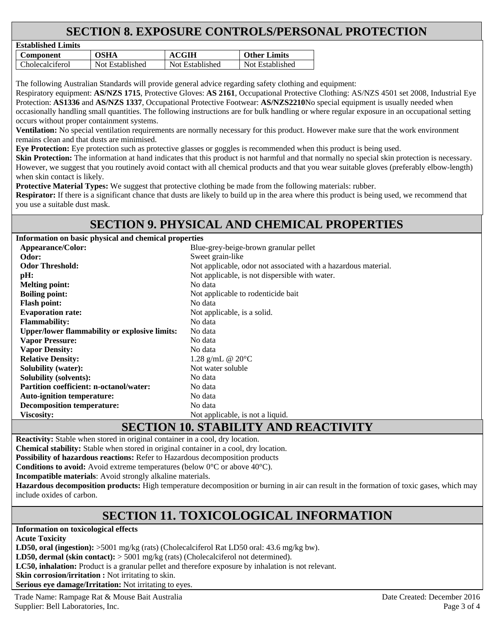# **SECTION 8. EXPOSURE CONTROLS/PERSONAL PROTECTION**

| Established Lillins |                 |                 |                     |
|---------------------|-----------------|-----------------|---------------------|
| Component           | OSHA            | <b>ACGIH</b>    | <b>Other Limits</b> |
| Cholecalciferol     | Not Established | Not Established | Not Established     |

The following Australian Standards will provide general advice regarding safety clothing and equipment:

Respiratory equipment: **AS/NZS 1715**, Protective Gloves: **AS 2161**, Occupational Protective Clothing: AS/NZS 4501 set 2008, Industrial Eye Protection: **AS1336** and **AS/NZS 1337**, Occupational Protective Footwear: **AS/NZS2210**No special equipment is usually needed when occasionally handling small quantities. The following instructions are for bulk handling or where regular exposure in an occupational setting occurs without proper containment systems.

**Ventilation:** No special ventilation requirements are normally necessary for this product. However make sure that the work environment remains clean and that dusts are minimised.

**Eye Protection:** Eye protection such as protective glasses or goggles is recommended when this product is being used.

**Skin Protection:** The information at hand indicates that this product is not harmful and that normally no special skin protection is necessary. However, we suggest that you routinely avoid contact with all chemical products and that you wear suitable gloves (preferably elbow-length) when skin contact is likely.

**Protective Material Types:** We suggest that protective clothing be made from the following materials: rubber.

**Respirator:** If there is a significant chance that dusts are likely to build up in the area where this product is being used, we recommend that you use a suitable dust mask.

## **SECTION 9. PHYSICAL AND CHEMICAL PROPERTIES**

**Information on basic physical and chemical properties** 

**Established Limits** 

| <b>Appearance/Color:</b>                             | Blue-grey-beige-brown granular pellet                          |  |  |
|------------------------------------------------------|----------------------------------------------------------------|--|--|
| Odor:                                                | Sweet grain-like                                               |  |  |
| <b>Odor Threshold:</b>                               | Not applicable, odor not associated with a hazardous material. |  |  |
| pH:                                                  | Not applicable, is not dispersible with water.                 |  |  |
| <b>Melting point:</b>                                | No data                                                        |  |  |
| <b>Boiling point:</b>                                | Not applicable to rodenticide bait                             |  |  |
| <b>Flash point:</b>                                  | No data                                                        |  |  |
| <b>Evaporation rate:</b>                             | Not applicable, is a solid.                                    |  |  |
| <b>Flammability:</b>                                 | No data                                                        |  |  |
| <b>Upper/lower flammability or explosive limits:</b> | No data                                                        |  |  |
| <b>Vapor Pressure:</b>                               | No data                                                        |  |  |
| <b>Vapor Density:</b>                                | No data                                                        |  |  |
| <b>Relative Density:</b>                             | 1.28 g/mL @ $20^{\circ}$ C                                     |  |  |
| <b>Solubility (water):</b>                           | Not water soluble                                              |  |  |
| <b>Solubility (solvents):</b>                        | No data                                                        |  |  |
| <b>Partition coefficient: n-octanol/water:</b>       | No data                                                        |  |  |
| <b>Auto-ignition temperature:</b>                    | No data                                                        |  |  |
| <b>Decomposition temperature:</b>                    | No data                                                        |  |  |
| <b>Viscosity:</b>                                    | Not applicable, is not a liquid.                               |  |  |

# **SECTION 10. STABILITY AND REACTIVITY**

**Reactivity:** Stable when stored in original container in a cool, dry location.

**Chemical stability:** Stable when stored in original container in a cool, dry location.

**Possibility of hazardous reactions:** Refer to Hazardous decomposition products

**Conditions to avoid:** Avoid extreme temperatures (below 0°C or above 40°C).

**Incompatible materials**: Avoid strongly alkaline materials.

**Hazardous decomposition products:** High temperature decomposition or burning in air can result in the formation of toxic gases, which may include oxides of carbon.

# **SECTION 11. TOXICOLOGICAL INFORMATION**

**Information on toxicological effects** 

**Acute Toxicity** 

LD50, oral (ingestion):  $>5001$  mg/kg (rats) (Cholecalciferol Rat LD50 oral: 43.6 mg/kg bw).

**LD50, dermal (skin contact):** > 5001 mg/kg (rats) (Cholecalciferol not determined).

**LC50, inhalation:** Product is a granular pellet and therefore exposure by inhalation is not relevant.

**Skin corrosion/irritation :** Not irritating to skin.

**Serious eye damage/Irritation:** Not irritating to eyes.